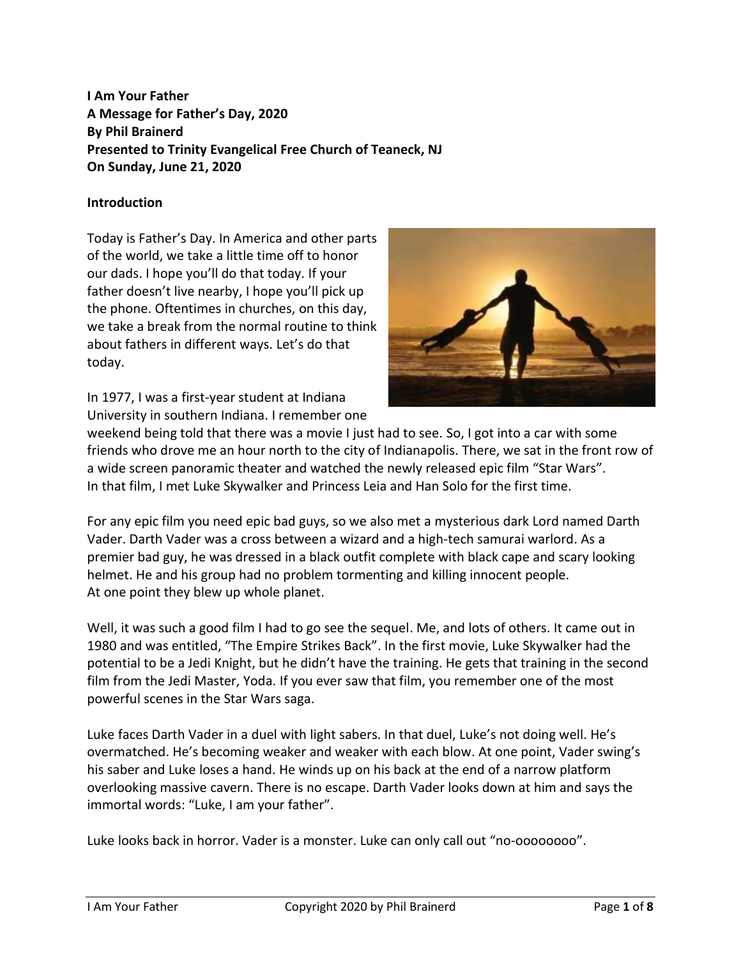**I Am Your Father A Message for Father's Day, 2020 By Phil Brainerd Presented to Trinity Evangelical Free Church of Teaneck, NJ On Sunday, June 21, 2020**

# **Introduction**

Today is Father's Day. In America and other parts of the world, we take a little time off to honor our dads. I hope you'll do that today. If your father doesn't live nearby, I hope you'll pick up the phone. Oftentimes in churches, on this day, we take a break from the normal routine to think about fathers in different ways. Let's do that today.



In 1977, I was a first-year student at Indiana University in southern Indiana. I remember one

weekend being told that there was a movie I just had to see. So, I got into a car with some friends who drove me an hour north to the city of Indianapolis. There, we sat in the front row of a wide screen panoramic theater and watched the newly released epic film "Star Wars". In that film, I met Luke Skywalker and Princess Leia and Han Solo for the first time.

For any epic film you need epic bad guys, so we also met a mysterious dark Lord named Darth Vader. Darth Vader was a cross between a wizard and a high-tech samurai warlord. As a premier bad guy, he was dressed in a black outfit complete with black cape and scary looking helmet. He and his group had no problem tormenting and killing innocent people. At one point they blew up whole planet.

Well, it was such a good film I had to go see the sequel. Me, and lots of others. It came out in 1980 and was entitled, "The Empire Strikes Back". In the first movie, Luke Skywalker had the potential to be a Jedi Knight, but he didn't have the training. He gets that training in the second film from the Jedi Master, Yoda. If you ever saw that film, you remember one of the most powerful scenes in the Star Wars saga.

Luke faces Darth Vader in a duel with light sabers. In that duel, Luke's not doing well. He's overmatched. He's becoming weaker and weaker with each blow. At one point, Vader swing's his saber and Luke loses a hand. He winds up on his back at the end of a narrow platform overlooking massive cavern. There is no escape. Darth Vader looks down at him and says the immortal words: "Luke, I am your father".

Luke looks back in horror. Vader is a monster. Luke can only call out "no-oooooooo".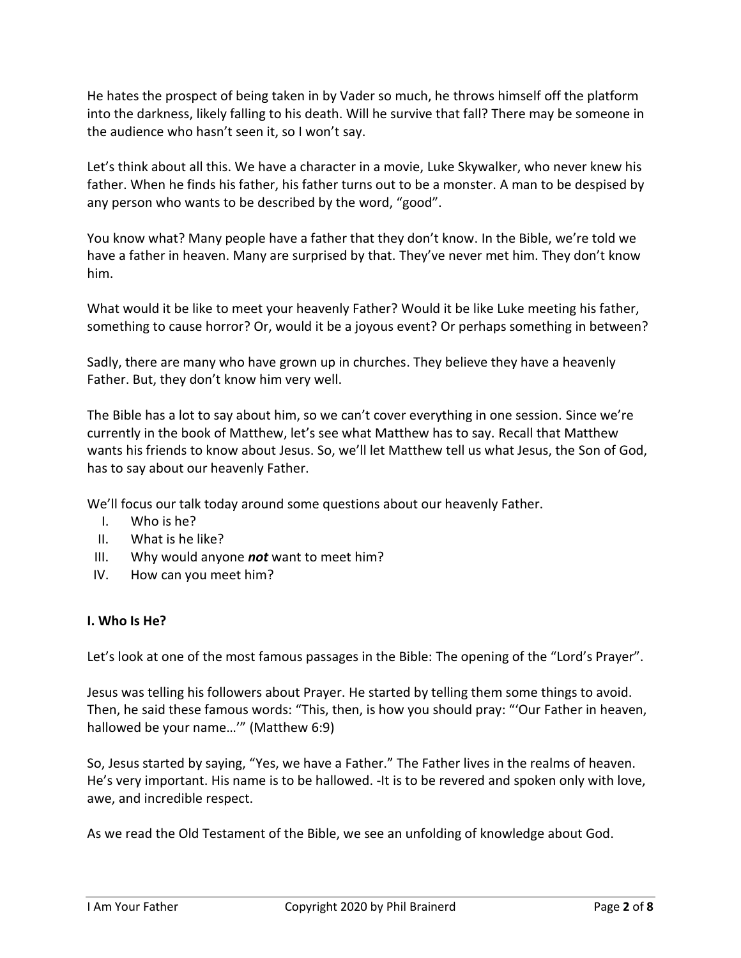He hates the prospect of being taken in by Vader so much, he throws himself off the platform into the darkness, likely falling to his death. Will he survive that fall? There may be someone in the audience who hasn't seen it, so I won't say.

Let's think about all this. We have a character in a movie, Luke Skywalker, who never knew his father. When he finds his father, his father turns out to be a monster. A man to be despised by any person who wants to be described by the word, "good".

You know what? Many people have a father that they don't know. In the Bible, we're told we have a father in heaven. Many are surprised by that. They've never met him. They don't know him.

What would it be like to meet your heavenly Father? Would it be like Luke meeting his father, something to cause horror? Or, would it be a joyous event? Or perhaps something in between?

Sadly, there are many who have grown up in churches. They believe they have a heavenly Father. But, they don't know him very well.

The Bible has a lot to say about him, so we can't cover everything in one session. Since we're currently in the book of Matthew, let's see what Matthew has to say. Recall that Matthew wants his friends to know about Jesus. So, we'll let Matthew tell us what Jesus, the Son of God, has to say about our heavenly Father.

We'll focus our talk today around some questions about our heavenly Father.

- I. Who is he?
- II. What is he like?
- III. Why would anyone *not* want to meet him?
- IV. How can you meet him?

### **I. Who Is He?**

Let's look at one of the most famous passages in the Bible: The opening of the "Lord's Prayer".

Jesus was telling his followers about Prayer. He started by telling them some things to avoid. Then, he said these famous words: "This, then, is how you should pray: "'Our Father in heaven, hallowed be your name…'" (Matthew 6:9)

So, Jesus started by saying, "Yes, we have a Father." The Father lives in the realms of heaven. He's very important. His name is to be hallowed. -It is to be revered and spoken only with love, awe, and incredible respect.

As we read the Old Testament of the Bible, we see an unfolding of knowledge about God.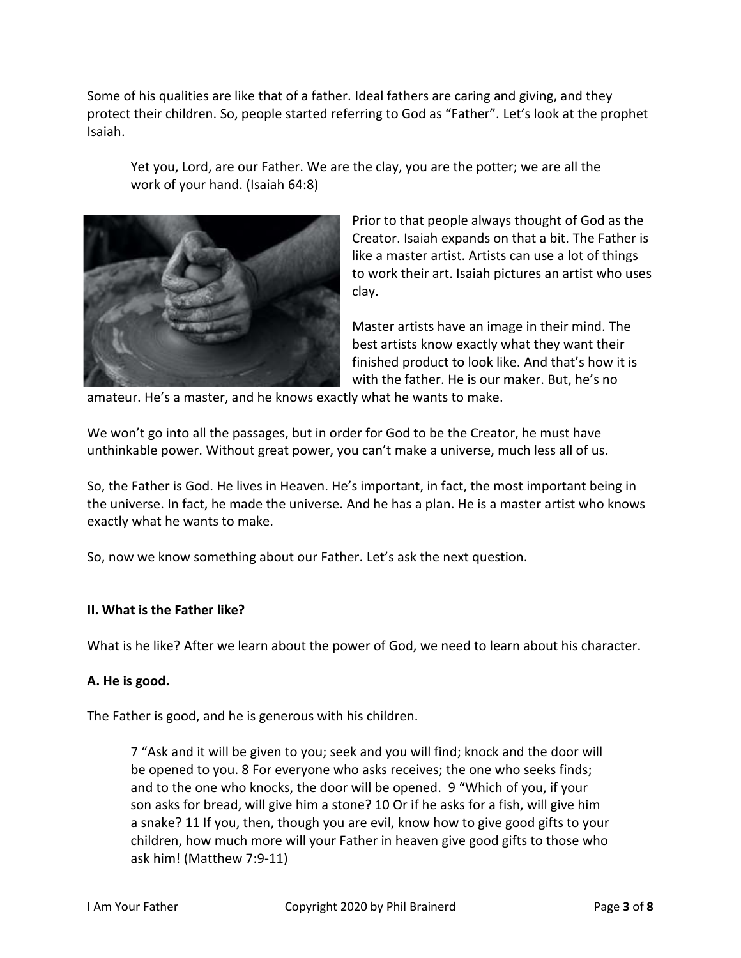Some of his qualities are like that of a father. Ideal fathers are caring and giving, and they protect their children. So, people started referring to God as "Father". Let's look at the prophet Isaiah.

Yet you, Lord, are our Father. We are the clay, you are the potter; we are all the work of your hand. (Isaiah 64:8)



Prior to that people always thought of God as the Creator. Isaiah expands on that a bit. The Father is like a master artist. Artists can use a lot of things to work their art. Isaiah pictures an artist who uses clay.

Master artists have an image in their mind. The best artists know exactly what they want their finished product to look like. And that's how it is with the father. He is our maker. But, he's no

amateur. He's a master, and he knows exactly what he wants to make.

We won't go into all the passages, but in order for God to be the Creator, he must have unthinkable power. Without great power, you can't make a universe, much less all of us.

So, the Father is God. He lives in Heaven. He's important, in fact, the most important being in the universe. In fact, he made the universe. And he has a plan. He is a master artist who knows exactly what he wants to make.

So, now we know something about our Father. Let's ask the next question.

### **II. What is the Father like?**

What is he like? After we learn about the power of God, we need to learn about his character.

### **A. He is good.**

The Father is good, and he is generous with his children.

7 "Ask and it will be given to you; seek and you will find; knock and the door will be opened to you. 8 For everyone who asks receives; the one who seeks finds; and to the one who knocks, the door will be opened. 9 "Which of you, if your son asks for bread, will give him a stone? 10 Or if he asks for a fish, will give him a snake? 11 If you, then, though you are evil, know how to give good gifts to your children, how much more will your Father in heaven give good gifts to those who ask him! (Matthew 7:9-11)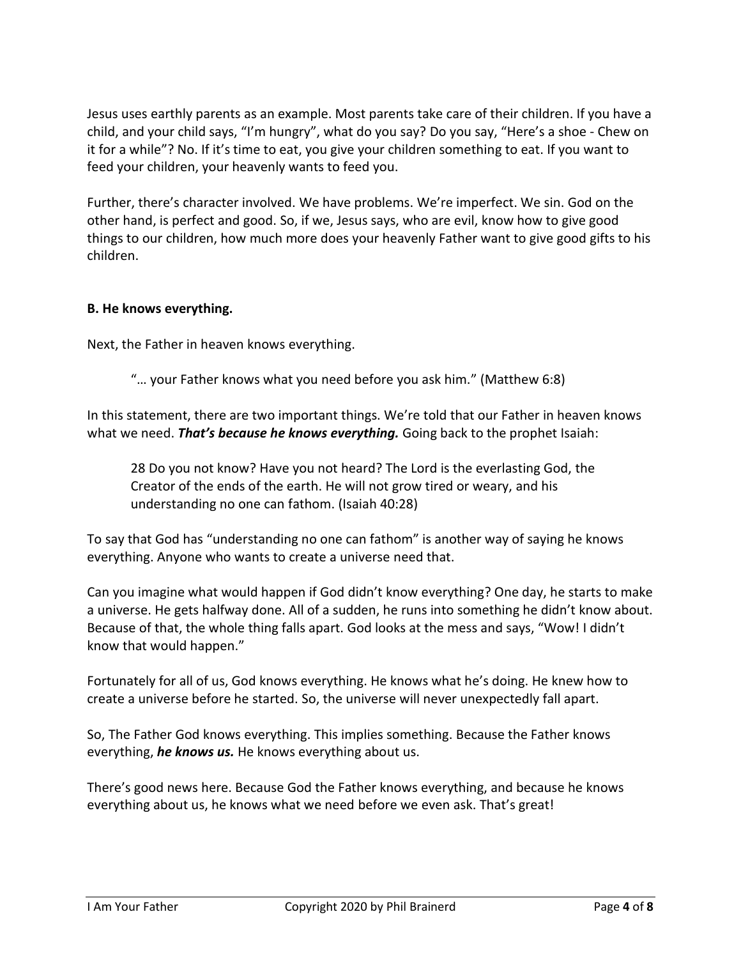Jesus uses earthly parents as an example. Most parents take care of their children. If you have a child, and your child says, "I'm hungry", what do you say? Do you say, "Here's a shoe - Chew on it for a while"? No. If it's time to eat, you give your children something to eat. If you want to feed your children, your heavenly wants to feed you.

Further, there's character involved. We have problems. We're imperfect. We sin. God on the other hand, is perfect and good. So, if we, Jesus says, who are evil, know how to give good things to our children, how much more does your heavenly Father want to give good gifts to his children.

# **B. He knows everything.**

Next, the Father in heaven knows everything.

"… your Father knows what you need before you ask him." (Matthew 6:8)

In this statement, there are two important things. We're told that our Father in heaven knows what we need. *That's because he knows everything.* Going back to the prophet Isaiah:

28 Do you not know? Have you not heard? The Lord is the everlasting God, the Creator of the ends of the earth. He will not grow tired or weary, and his understanding no one can fathom. (Isaiah 40:28)

To say that God has "understanding no one can fathom" is another way of saying he knows everything. Anyone who wants to create a universe need that.

Can you imagine what would happen if God didn't know everything? One day, he starts to make a universe. He gets halfway done. All of a sudden, he runs into something he didn't know about. Because of that, the whole thing falls apart. God looks at the mess and says, "Wow! I didn't know that would happen."

Fortunately for all of us, God knows everything. He knows what he's doing. He knew how to create a universe before he started. So, the universe will never unexpectedly fall apart.

So, The Father God knows everything. This implies something. Because the Father knows everything, *he knows us.* He knows everything about us.

There's good news here. Because God the Father knows everything, and because he knows everything about us, he knows what we need before we even ask. That's great!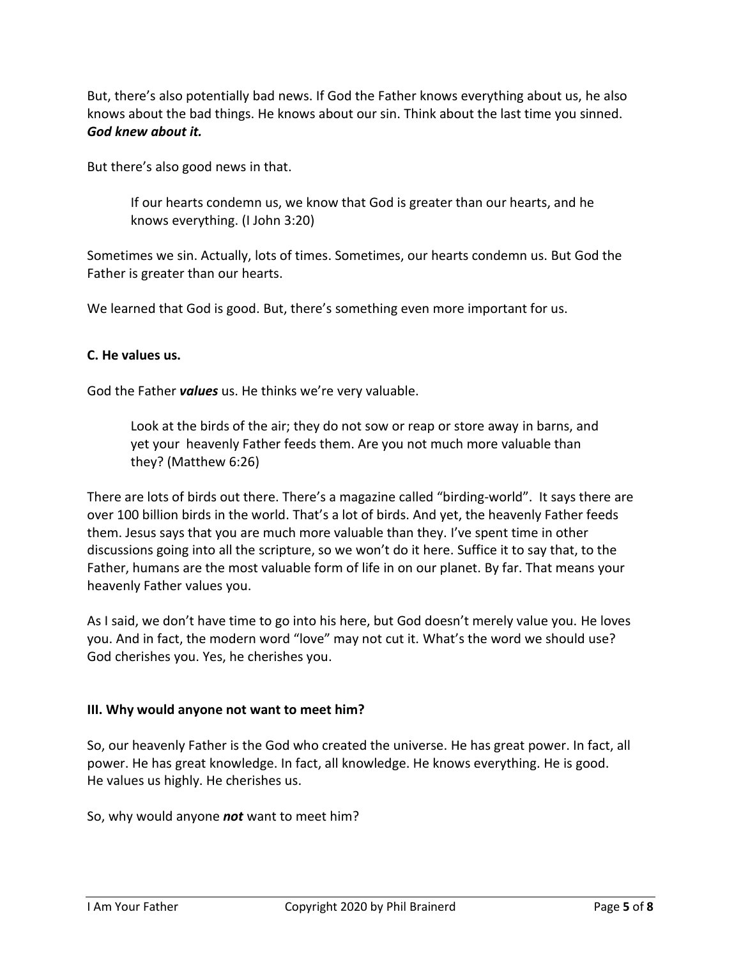But, there's also potentially bad news. If God the Father knows everything about us, he also knows about the bad things. He knows about our sin. Think about the last time you sinned. *God knew about it.*

But there's also good news in that.

If our hearts condemn us, we know that God is greater than our hearts, and he knows everything. (I John 3:20)

Sometimes we sin. Actually, lots of times. Sometimes, our hearts condemn us. But God the Father is greater than our hearts.

We learned that God is good. But, there's something even more important for us.

### **C. He values us.**

God the Father *values* us. He thinks we're very valuable.

Look at the birds of the air; they do not sow or reap or store away in barns, and yet your heavenly Father feeds them. Are you not much more valuable than they? (Matthew 6:26)

There are lots of birds out there. There's a magazine called "birding-world". It says there are over 100 billion birds in the world. That's a lot of birds. And yet, the heavenly Father feeds them. Jesus says that you are much more valuable than they. I've spent time in other discussions going into all the scripture, so we won't do it here. Suffice it to say that, to the Father, humans are the most valuable form of life in on our planet. By far. That means your heavenly Father values you.

As I said, we don't have time to go into his here, but God doesn't merely value you. He loves you. And in fact, the modern word "love" may not cut it. What's the word we should use? God cherishes you. Yes, he cherishes you.

### **III. Why would anyone not want to meet him?**

So, our heavenly Father is the God who created the universe. He has great power. In fact, all power. He has great knowledge. In fact, all knowledge. He knows everything. He is good. He values us highly. He cherishes us.

So, why would anyone *not* want to meet him?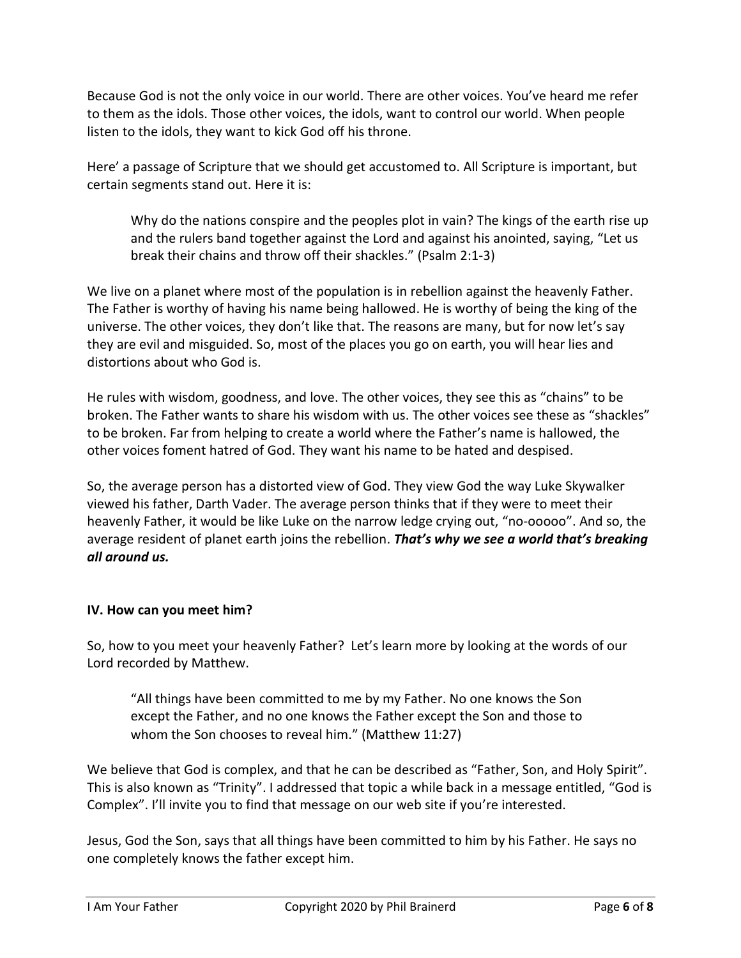Because God is not the only voice in our world. There are other voices. You've heard me refer to them as the idols. Those other voices, the idols, want to control our world. When people listen to the idols, they want to kick God off his throne.

Here' a passage of Scripture that we should get accustomed to. All Scripture is important, but certain segments stand out. Here it is:

Why do the nations conspire and the peoples plot in vain? The kings of the earth rise up and the rulers band together against the Lord and against his anointed, saying, "Let us break their chains and throw off their shackles." (Psalm 2:1-3)

We live on a planet where most of the population is in rebellion against the heavenly Father. The Father is worthy of having his name being hallowed. He is worthy of being the king of the universe. The other voices, they don't like that. The reasons are many, but for now let's say they are evil and misguided. So, most of the places you go on earth, you will hear lies and distortions about who God is.

He rules with wisdom, goodness, and love. The other voices, they see this as "chains" to be broken. The Father wants to share his wisdom with us. The other voices see these as "shackles" to be broken. Far from helping to create a world where the Father's name is hallowed, the other voices foment hatred of God. They want his name to be hated and despised.

So, the average person has a distorted view of God. They view God the way Luke Skywalker viewed his father, Darth Vader. The average person thinks that if they were to meet their heavenly Father, it would be like Luke on the narrow ledge crying out, "no-ooooo". And so, the average resident of planet earth joins the rebellion. *That's why we see a world that's breaking all around us.*

# **IV. How can you meet him?**

So, how to you meet your heavenly Father? Let's learn more by looking at the words of our Lord recorded by Matthew.

"All things have been committed to me by my Father. No one knows the Son except the Father, and no one knows the Father except the Son and those to whom the Son chooses to reveal him." (Matthew 11:27)

We believe that God is complex, and that he can be described as "Father, Son, and Holy Spirit". This is also known as "Trinity". I addressed that topic a while back in a message entitled, "God is Complex". I'll invite you to find that message on our web site if you're interested.

Jesus, God the Son, says that all things have been committed to him by his Father. He says no one completely knows the father except him.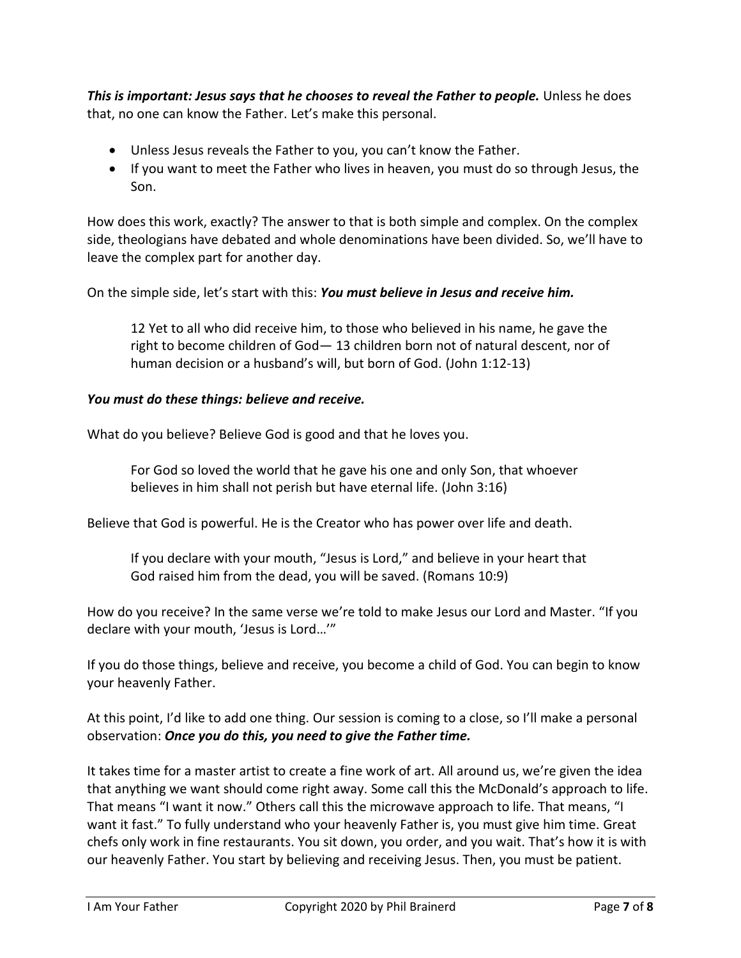*This is important: Jesus says that he chooses to reveal the Father to people.* Unless he does that, no one can know the Father. Let's make this personal.

- Unless Jesus reveals the Father to you, you can't know the Father.
- If you want to meet the Father who lives in heaven, you must do so through Jesus, the Son.

How does this work, exactly? The answer to that is both simple and complex. On the complex side, theologians have debated and whole denominations have been divided. So, we'll have to leave the complex part for another day.

On the simple side, let's start with this: *You must believe in Jesus and receive him.*

12 Yet to all who did receive him, to those who believed in his name, he gave the right to become children of God— 13 children born not of natural descent, nor of human decision or a husband's will, but born of God. (John 1:12-13)

# *You must do these things: believe and receive.*

What do you believe? Believe God is good and that he loves you.

For God so loved the world that he gave his one and only Son, that whoever believes in him shall not perish but have eternal life. (John 3:16)

Believe that God is powerful. He is the Creator who has power over life and death.

If you declare with your mouth, "Jesus is Lord," and believe in your heart that God raised him from the dead, you will be saved. (Romans 10:9)

How do you receive? In the same verse we're told to make Jesus our Lord and Master. "If you declare with your mouth, 'Jesus is Lord…'"

If you do those things, believe and receive, you become a child of God. You can begin to know your heavenly Father.

At this point, I'd like to add one thing. Our session is coming to a close, so I'll make a personal observation: *Once you do this, you need to give the Father time.*

It takes time for a master artist to create a fine work of art. All around us, we're given the idea that anything we want should come right away. Some call this the McDonald's approach to life. That means "I want it now." Others call this the microwave approach to life. That means, "I want it fast." To fully understand who your heavenly Father is, you must give him time. Great chefs only work in fine restaurants. You sit down, you order, and you wait. That's how it is with our heavenly Father. You start by believing and receiving Jesus. Then, you must be patient.